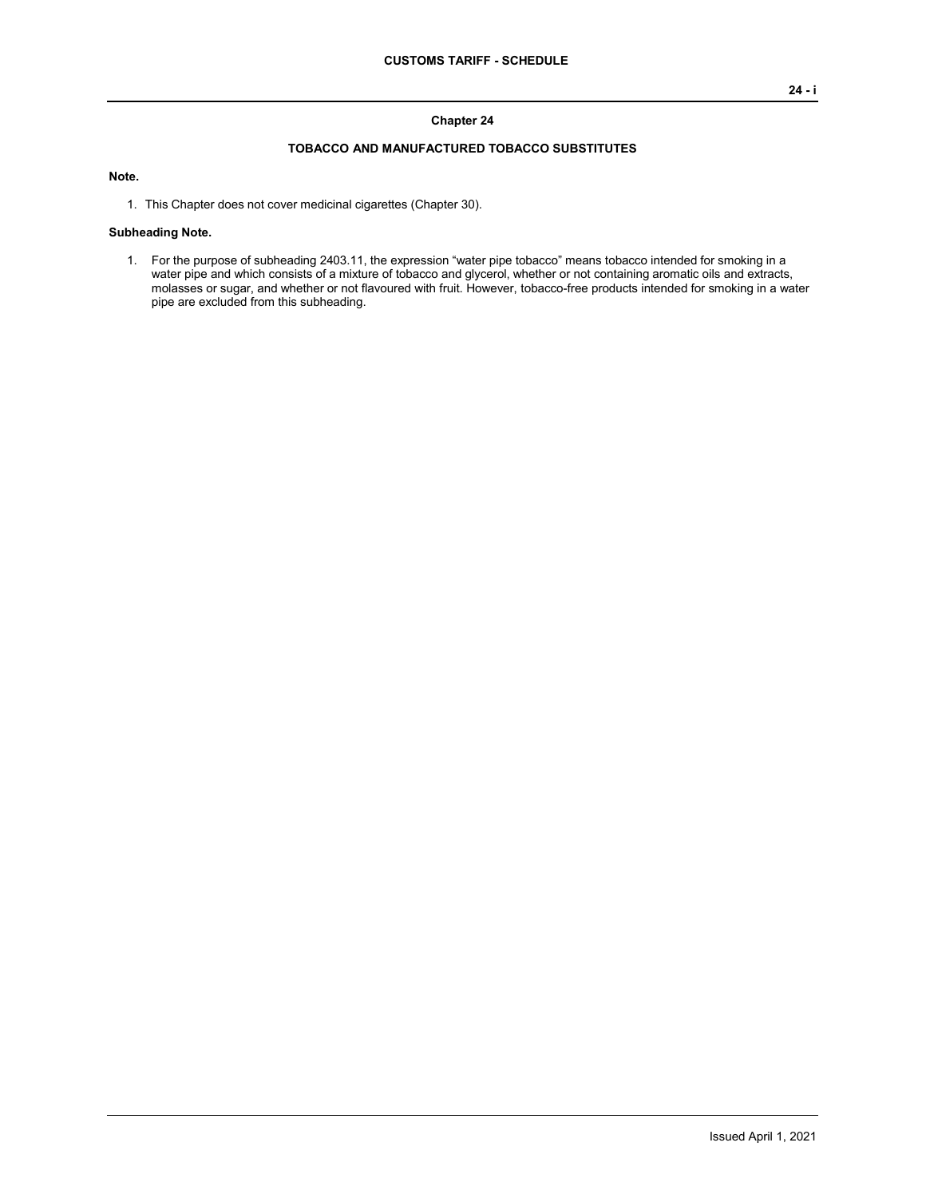#### **Chapter 24**

### **TOBACCO AND MANUFACTURED TOBACCO SUBSTITUTES**

## **Note.**

1. This Chapter does not cover medicinal cigarettes (Chapter 30).

#### **Subheading Note.**

1. For the purpose of subheading 2403.11, the expression "water pipe tobacco" means tobacco intended for smoking in a water pipe and which consists of a mixture of tobacco and glycerol, whether or not containing aromatic oils and extracts, molasses or sugar, and whether or not flavoured with fruit. However, tobacco-free products intended for smoking in a water pipe are excluded from this subheading.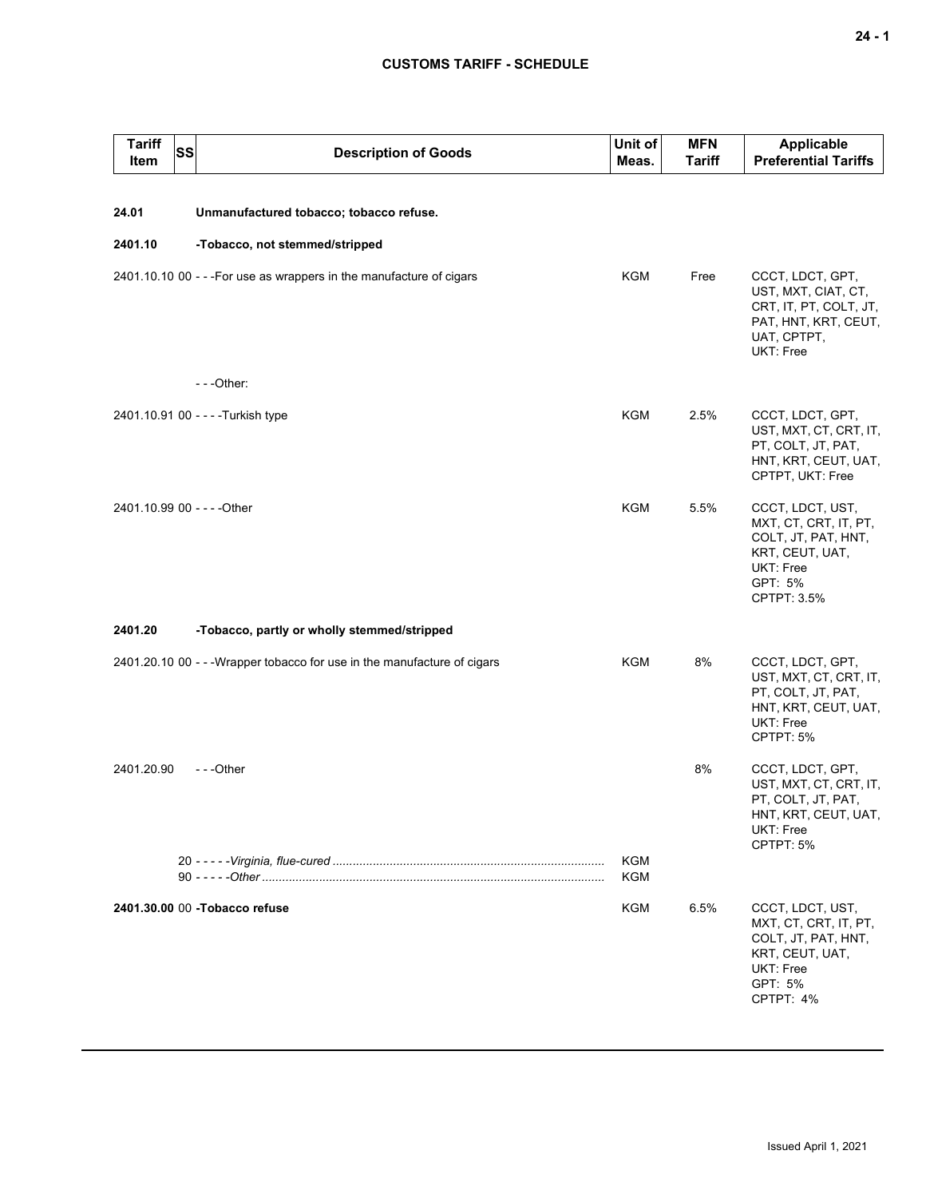# **CUSTOMS TARIFF - SCHEDULE**

| <b>Tariff</b><br><b>SS</b><br><b>Item</b> | <b>Description of Goods</b>                                              | Unit of<br>Meas. | <b>MFN</b><br><b>Tariff</b> | <b>Applicable</b><br><b>Preferential Tariffs</b>                                                                           |
|-------------------------------------------|--------------------------------------------------------------------------|------------------|-----------------------------|----------------------------------------------------------------------------------------------------------------------------|
| 24.01                                     | Unmanufactured tobacco; tobacco refuse.                                  |                  |                             |                                                                                                                            |
| 2401.10                                   | -Tobacco, not stemmed/stripped                                           |                  |                             |                                                                                                                            |
|                                           | 2401.10.10 00 - - - For use as wrappers in the manufacture of cigars     | <b>KGM</b>       | Free                        | CCCT, LDCT, GPT,<br>UST, MXT, CIAT, CT,<br>CRT, IT, PT, COLT, JT,<br>PAT, HNT, KRT, CEUT,<br>UAT, CPTPT,<br>UKT: Free      |
|                                           | $- -$ Other:                                                             |                  |                             |                                                                                                                            |
|                                           | 2401.10.91 00 - - - - Turkish type                                       | <b>KGM</b>       | 2.5%                        | CCCT, LDCT, GPT,<br>UST, MXT, CT, CRT, IT,<br>PT, COLT, JT, PAT,<br>HNT, KRT, CEUT, UAT,<br>CPTPT, UKT: Free               |
| 2401.10.99 00 - - - - Other               |                                                                          | <b>KGM</b>       | 5.5%                        | CCCT, LDCT, UST,<br>MXT, CT, CRT, IT, PT,<br>COLT, JT, PAT, HNT,<br>KRT, CEUT, UAT,<br>UKT: Free<br>GPT: 5%<br>CPTPT: 3.5% |
| 2401.20                                   | -Tobacco, partly or wholly stemmed/stripped                              |                  |                             |                                                                                                                            |
|                                           | 2401.20.10 00 - - - Wrapper tobacco for use in the manufacture of cigars | KGM              | 8%                          | CCCT, LDCT, GPT,<br>UST, MXT, CT, CRT, IT,<br>PT, COLT, JT, PAT,<br>HNT, KRT, CEUT, UAT,<br><b>UKT: Free</b><br>CPTPT: 5%  |
| 2401.20.90                                | ---Other                                                                 |                  | 8%                          | CCCT, LDCT, GPT,<br>UST, MXT, CT, CRT, IT,<br>PT, COLT, JT, PAT,<br>HNT, KRT, CEUT, UAT,<br>UKT: Free<br>CPTPT: 5%         |
|                                           |                                                                          | KGM<br>KGM       |                             |                                                                                                                            |
|                                           | 2401.30.00 00 - Tobacco refuse                                           | KGM              | 6.5%                        | CCCT, LDCT, UST,<br>MXT, CT, CRT, IT, PT,<br>COLT, JT, PAT, HNT,<br>KRT, CEUT, UAT,<br>UKT: Free<br>GPT: 5%<br>CPTPT: 4%   |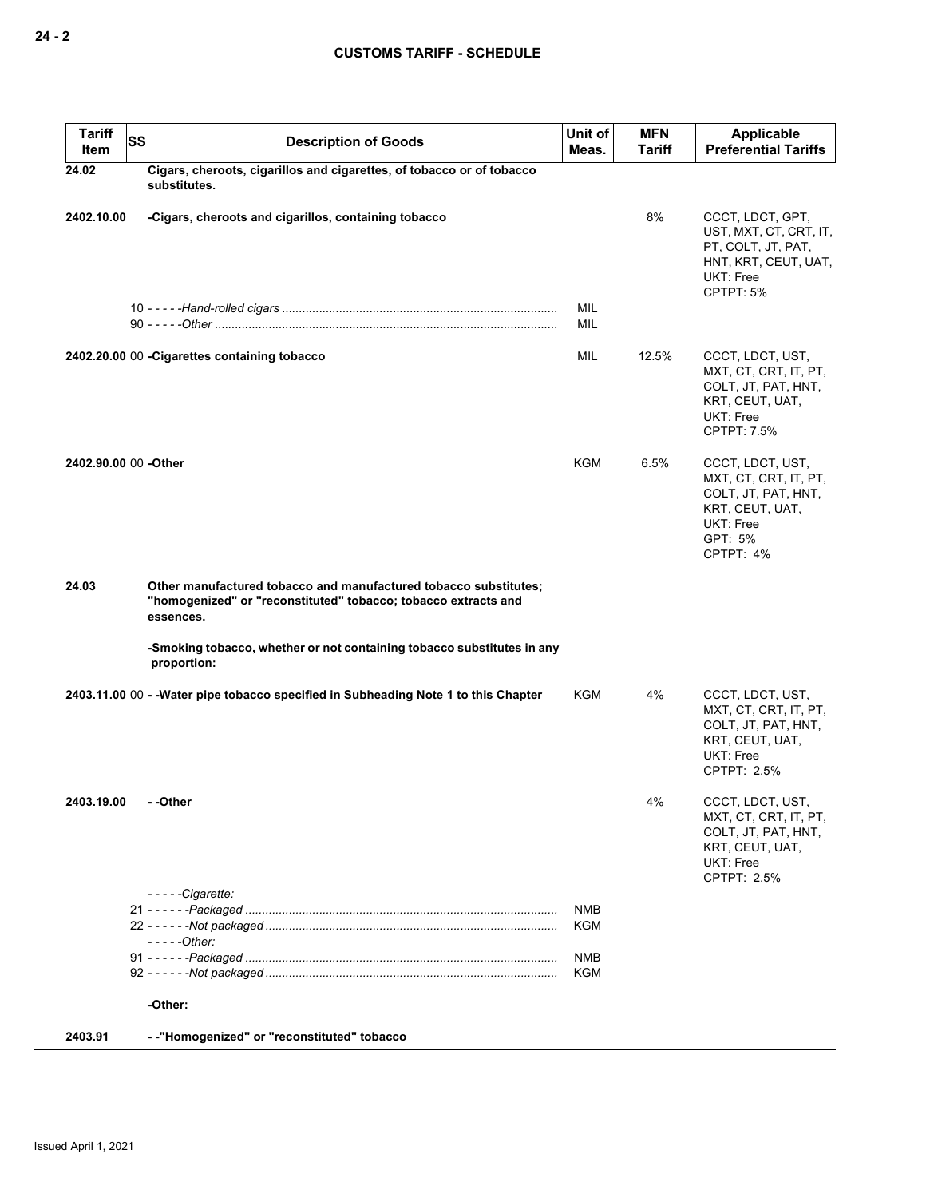| <b>Tariff</b><br>Item | <b>SS</b> | <b>Description of Goods</b>                                                                                                                     | Unit of<br>Meas. | <b>MFN</b><br><b>Tariff</b> | Applicable<br><b>Preferential Tariffs</b>                                                                                |
|-----------------------|-----------|-------------------------------------------------------------------------------------------------------------------------------------------------|------------------|-----------------------------|--------------------------------------------------------------------------------------------------------------------------|
| 24.02                 |           | Cigars, cheroots, cigarillos and cigarettes, of tobacco or of tobacco<br>substitutes.                                                           |                  |                             |                                                                                                                          |
| 2402.10.00            |           | -Cigars, cheroots and cigarillos, containing tobacco                                                                                            |                  | 8%                          | CCCT, LDCT, GPT,<br>UST, MXT, CT, CRT, IT,<br>PT, COLT, JT, PAT,<br>HNT, KRT, CEUT, UAT,<br>UKT: Free<br>CPTPT: 5%       |
|                       |           |                                                                                                                                                 | MIL<br>MIL       |                             |                                                                                                                          |
|                       |           | 2402.20.00 00 - Cigarettes containing tobacco                                                                                                   | MIL              | 12.5%                       | CCCT, LDCT, UST,<br>MXT, CT, CRT, IT, PT,<br>COLT, JT, PAT, HNT,<br>KRT, CEUT, UAT,<br>UKT: Free<br><b>CPTPT: 7.5%</b>   |
| 2402.90.00 00 -Other  |           |                                                                                                                                                 | <b>KGM</b>       | 6.5%                        | CCCT, LDCT, UST,<br>MXT, CT, CRT, IT, PT,<br>COLT, JT, PAT, HNT,<br>KRT, CEUT, UAT,<br>UKT: Free<br>GPT: 5%<br>CPTPT: 4% |
| 24.03                 |           | Other manufactured tobacco and manufactured tobacco substitutes;<br>"homogenized" or "reconstituted" tobacco; tobacco extracts and<br>essences. |                  |                             |                                                                                                                          |
|                       |           | -Smoking tobacco, whether or not containing tobacco substitutes in any<br>proportion:                                                           |                  |                             |                                                                                                                          |
|                       |           | 2403.11.00 00 - - Water pipe tobacco specified in Subheading Note 1 to this Chapter                                                             | KGM              | 4%                          | CCCT, LDCT, UST,<br>MXT, CT, CRT, IT, PT,<br>COLT, JT, PAT, HNT,<br>KRT, CEUT, UAT,<br>UKT: Free<br>CPTPT: 2.5%          |
| 2403.19.00            |           | - -Other                                                                                                                                        |                  | 4%                          | CCCT, LDCT, UST,<br>MXT, CT, CRT, IT, PT,<br>COLT, JT, PAT, HNT,<br>KRT, CEUT, UAT,<br>UKT: Free<br>CPTPT: 2.5%          |
|                       |           | $--$ - $Cigarette:$                                                                                                                             | NMB              |                             |                                                                                                                          |
|                       |           | $---Other:$                                                                                                                                     | KGM              |                             |                                                                                                                          |
|                       |           |                                                                                                                                                 | NMB<br>KGM       |                             |                                                                                                                          |
|                       |           | -Other:                                                                                                                                         |                  |                             |                                                                                                                          |
| 2403.91               |           | -- "Homogenized" or "reconstituted" tobacco                                                                                                     |                  |                             |                                                                                                                          |